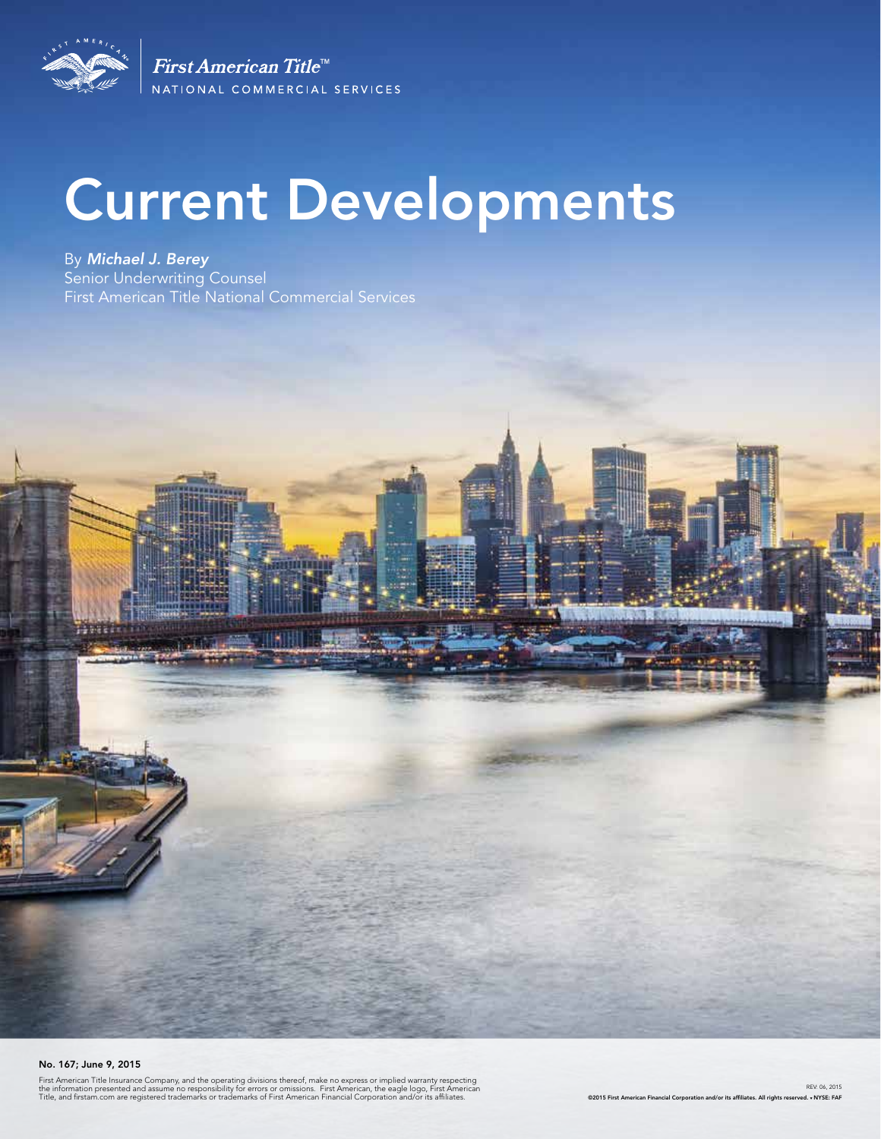

First American Title<sup>™</sup> NATIONAL COMMERCIAL SERVICES

# Current Developments

By *Michael J. Berey*  Senior Underwriting Counsel First American Title National Commercial Services

#### No. 167; June 9, 2015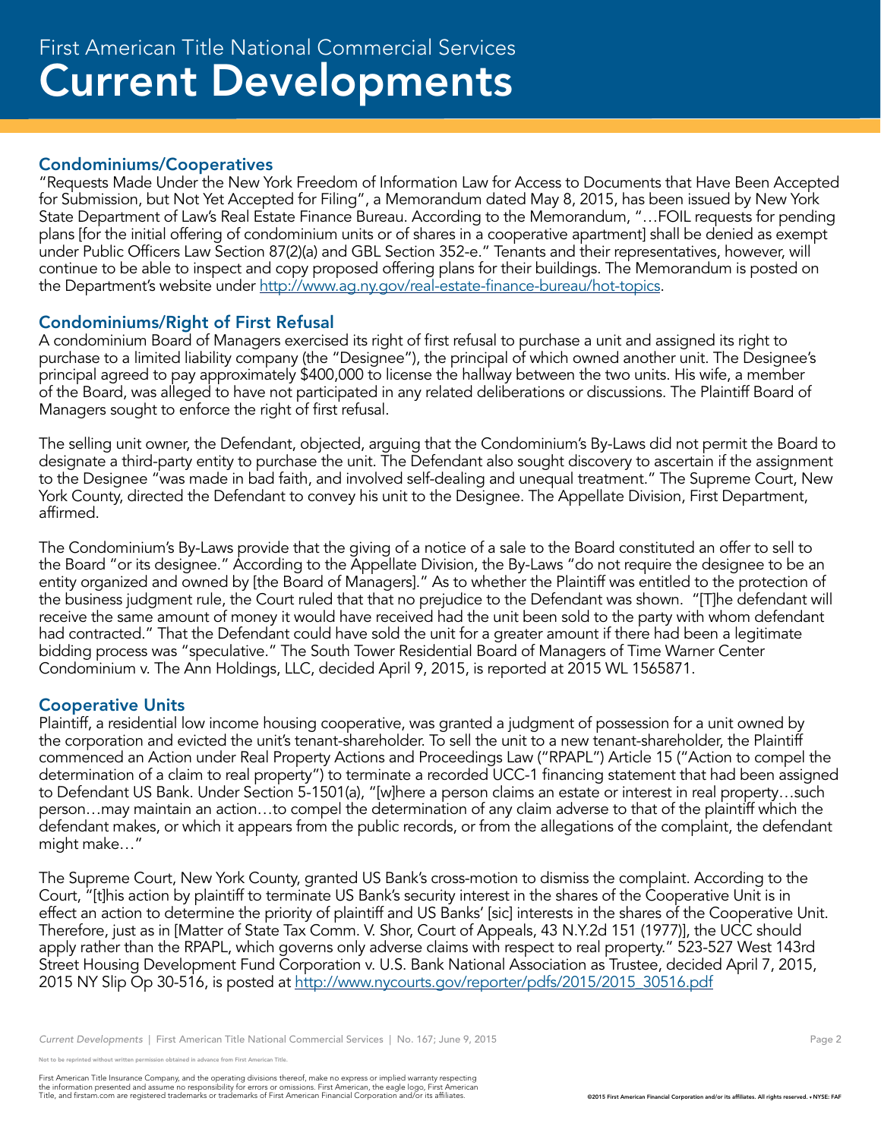#### Condominiums/Cooperatives

"Requests Made Under the New York Freedom of Information Law for Access to Documents that Have Been Accepted for Submission, but Not Yet Accepted for Filing", a Memorandum dated May 8, 2015, has been issued by New York State Department of Law's Real Estate Finance Bureau. According to the Memorandum, "…FOIL requests for pending plans [for the initial offering of condominium units or of shares in a cooperative apartment] shall be denied as exempt under Public Officers Law Section 87(2)(a) and GBL Section 352-e." Tenants and their representatives, however, will continue to be able to inspect and copy proposed offering plans for their buildings. The Memorandum is posted on the Department's website under http://www.ag.ny.gov/real-estate-finance-bureau/hot-topics.

### Condominiums/Right of First Refusal

A condominium Board of Managers exercised its right of first refusal to purchase a unit and assigned its right to purchase to a limited liability company (the "Designee"), the principal of which owned another unit. The Designee's principal agreed to pay approximately \$400,000 to license the hallway between the two units. His wife, a member of the Board, was alleged to have not participated in any related deliberations or discussions. The Plaintiff Board of Managers sought to enforce the right of first refusal.

The selling unit owner, the Defendant, objected, arguing that the Condominium's By-Laws did not permit the Board to designate a third-party entity to purchase the unit. The Defendant also sought discovery to ascertain if the assignment to the Designee "was made in bad faith, and involved self-dealing and unequal treatment." The Supreme Court, New York County, directed the Defendant to convey his unit to the Designee. The Appellate Division, First Department, affirmed.

The Condominium's By-Laws provide that the giving of a notice of a sale to the Board constituted an offer to sell to the Board "or its designee." According to the Appellate Division, the By-Laws "do not require the designee to be an entity organized and owned by [the Board of Managers]." As to whether the Plaintiff was entitled to the protection of the business judgment rule, the Court ruled that that no prejudice to the Defendant was shown. "[T]he defendant will receive the same amount of money it would have received had the unit been sold to the party with whom defendant had contracted." That the Defendant could have sold the unit for a greater amount if there had been a legitimate bidding process was "speculative." The South Tower Residential Board of Managers of Time Warner Center Condominium v. The Ann Holdings, LLC, decided April 9, 2015, is reported at 2015 WL 1565871.

### Cooperative Units

Plaintiff, a residential low income housing cooperative, was granted a judgment of possession for a unit owned by the corporation and evicted the unit's tenant-shareholder. To sell the unit to a new tenant-shareholder, the Plaintiff commenced an Action under Real Property Actions and Proceedings Law ("RPAPL") Article 15 ("Action to compel the determination of a claim to real property") to terminate a recorded UCC-1 financing statement that had been assigned to Defendant US Bank. Under Section 5-1501(a), "[w]here a person claims an estate or interest in real property…such person…may maintain an action…to compel the determination of any claim adverse to that of the plaintiff which the defendant makes, or which it appears from the public records, or from the allegations of the complaint, the defendant might make…"

The Supreme Court, New York County, granted US Bank's cross-motion to dismiss the complaint. According to the Court, "[t]his action by plaintiff to terminate US Bank's security interest in the shares of the Cooperative Unit is in effect an action to determine the priority of plaintiff and US Banks' [sic] interests in the shares of the Cooperative Unit. Therefore, just as in [Matter of State Tax Comm. V. Shor, Court of Appeals, 43 N.Y.2d 151 (1977)], the UCC should apply rather than the RPAPL, which governs only adverse claims with respect to real property." 523-527 West 143rd Street Housing Development Fund Corporation v. U.S. Bank National Association as Trustee, decided April 7, 2015, 2015 NY Slip Op 30-516, is posted at http://www.nycourts.gov/reporter/pdfs/2015/2015 30516.pdf

reprinted without written permission obtained in advance from First American Title.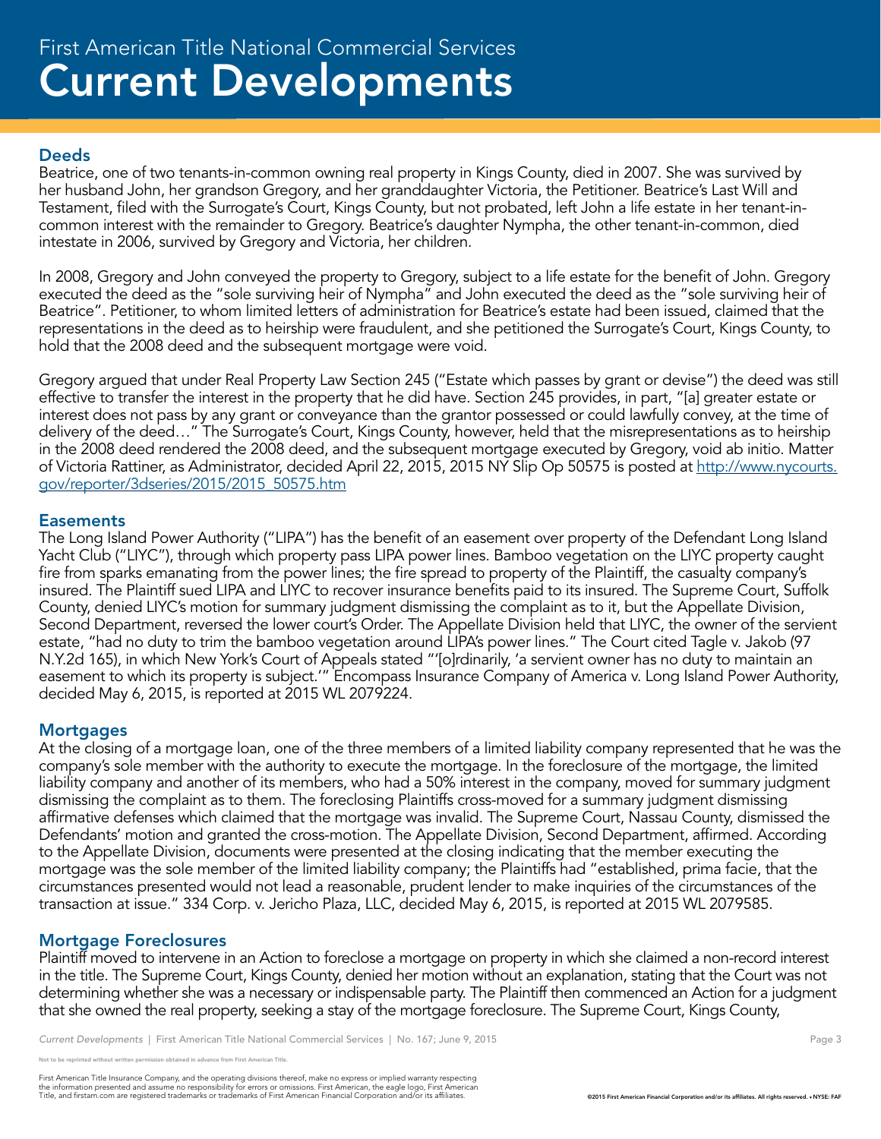#### **Deeds**

Beatrice, one of two tenants-in-common owning real property in Kings County, died in 2007. She was survived by her husband John, her grandson Gregory, and her granddaughter Victoria, the Petitioner. Beatrice's Last Will and Testament, filed with the Surrogate's Court, Kings County, but not probated, left John a life estate in her tenant-incommon interest with the remainder to Gregory. Beatrice's daughter Nympha, the other tenant-in-common, died intestate in 2006, survived by Gregory and Victoria, her children.

In 2008, Gregory and John conveyed the property to Gregory, subject to a life estate for the benefit of John. Gregory executed the deed as the "sole surviving heir of Nympha" and John executed the deed as the "sole surviving heir of Beatrice". Petitioner, to whom limited letters of administration for Beatrice's estate had been issued, claimed that the representations in the deed as to heirship were fraudulent, and she petitioned the Surrogate's Court, Kings County, to hold that the 2008 deed and the subsequent mortgage were void.

Gregory argued that under Real Property Law Section 245 ("Estate which passes by grant or devise") the deed was still effective to transfer the interest in the property that he did have. Section 245 provides, in part, "[a] greater estate or interest does not pass by any grant or conveyance than the grantor possessed or could lawfully convey, at the time of delivery of the deed…" The Surrogate's Court, Kings County, however, held that the misrepresentations as to heirship in the 2008 deed rendered the 2008 deed, and the subsequent mortgage executed by Gregory, void ab initio. Matter of Victoria Rattiner, as Administrator, decided April 22, 2015, 2015 NY Slip Op 50575 is posted at http://www.nycourts. gov/reporter/3dseries/2015/2015\_50575.htm

#### **Easements**

The Long Island Power Authority ("LIPA") has the benefit of an easement over property of the Defendant Long Island Yacht Club ("LIYC"), through which property pass LIPA power lines. Bamboo vegetation on the LIYC property caught fire from sparks emanating from the power lines; the fire spread to property of the Plaintiff, the casualty company's insured. The Plaintiff sued LIPA and LIYC to recover insurance benefits paid to its insured. The Supreme Court, Suffolk County, denied LIYC's motion for summary judgment dismissing the complaint as to it, but the Appellate Division, Second Department, reversed the lower court's Order. The Appellate Division held that LIYC, the owner of the servient estate, "had no duty to trim the bamboo vegetation around LIPA's power lines." The Court cited Tagle v. Jakob (97 N.Y.2d 165), in which New York's Court of Appeals stated "'[o]rdinarily, 'a servient owner has no duty to maintain an easement to which its property is subject.'" Encompass Insurance Company of America v. Long Island Power Authority, decided May 6, 2015, is reported at 2015 WL 2079224.

#### **Mortgages**

At the closing of a mortgage loan, one of the three members of a limited liability company represented that he was the company's sole member with the authority to execute the mortgage. In the foreclosure of the mortgage, the limited liability company and another of its members, who had a 50% interest in the company, moved for summary judgment dismissing the complaint as to them. The foreclosing Plaintiffs cross-moved for a summary judgment dismissing affirmative defenses which claimed that the mortgage was invalid. The Supreme Court, Nassau County, dismissed the Defendants' motion and granted the cross-motion. The Appellate Division, Second Department, affirmed. According to the Appellate Division, documents were presented at the closing indicating that the member executing the mortgage was the sole member of the limited liability company; the Plaintiffs had "established, prima facie, that the circumstances presented would not lead a reasonable, prudent lender to make inquiries of the circumstances of the transaction at issue." 334 Corp. v. Jericho Plaza, LLC, decided May 6, 2015, is reported at 2015 WL 2079585.

### Mortgage Foreclosures

Plaintiff moved to intervene in an Action to foreclose a mortgage on property in which she claimed a non-record interest in the title. The Supreme Court, Kings County, denied her motion without an explanation, stating that the Court was not determining whether she was a necessary or indispensable party. The Plaintiff then commenced an Action for a judgment that she owned the real property, seeking a stay of the mortgage foreclosure. The Supreme Court, Kings County,

reprinted without written permission obtained in advance from First American Title.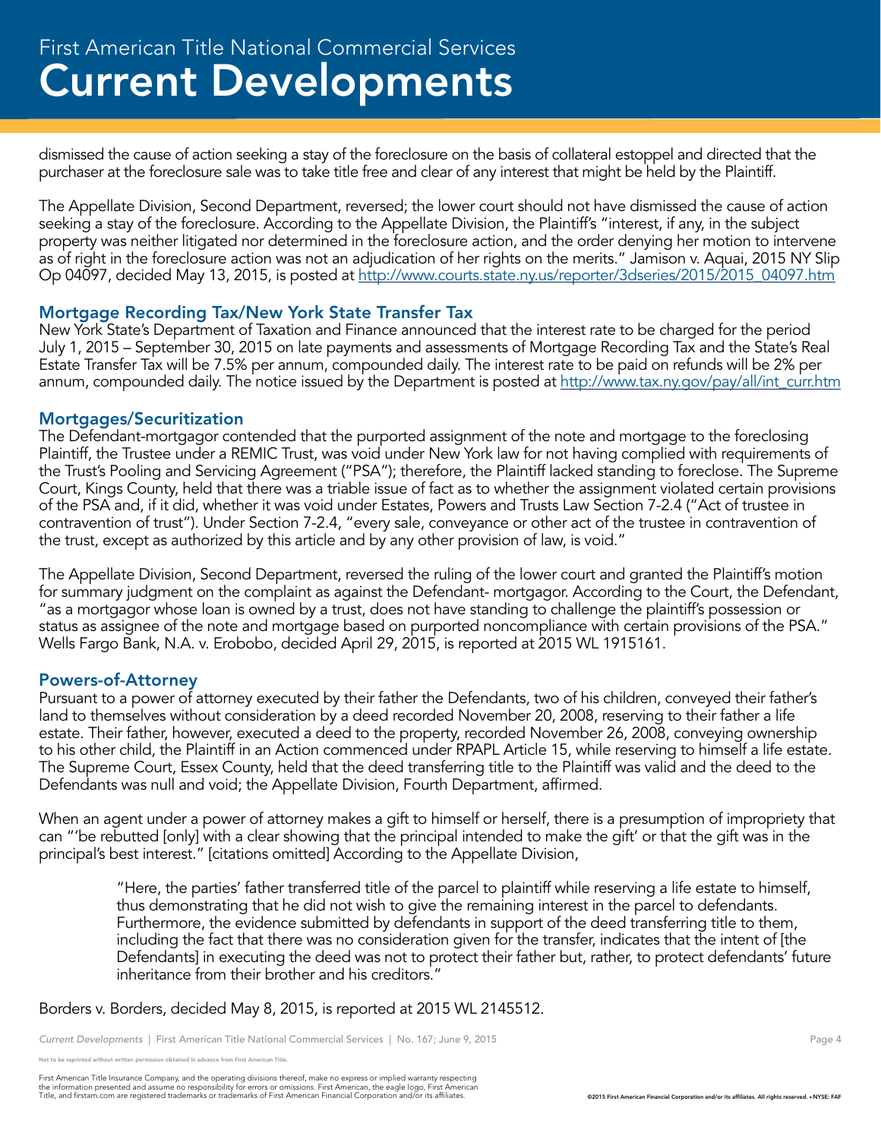dismissed the cause of action seeking a stay of the foreclosure on the basis of collateral estoppel and directed that the purchaser at the foreclosure sale was to take title free and clear of any interest that might be held by the Plaintiff.

The Appellate Division, Second Department, reversed; the lower court should not have dismissed the cause of action seeking a stay of the foreclosure. According to the Appellate Division, the Plaintiff's "interest, if any, in the subject property was neither litigated nor determined in the foreclosure action, and the order denying her motion to intervene as of right in the foreclosure action was not an adjudication of her rights on the merits." Jamison v. Aquai, 2015 NY Slip Op 04097, decided May 13, 2015, is posted at http://www.courts.state.ny.us/reporter/3dseries/2015/2015\_04097.htm

#### Mortgage Recording Tax/New York State Transfer Tax

New York State's Department of Taxation and Finance announced that the interest rate to be charged for the period July 1, 2015 – September 30, 2015 on late payments and assessments of Mortgage Recording Tax and the State's Real Estate Transfer Tax will be 7.5% per annum, compounded daily. The interest rate to be paid on refunds will be 2% per annum, compounded daily. The notice issued by the Department is posted at http://www.tax.ny.gov/pay/all/int\_curr.htm

#### Mortgages/Securitization

The Defendant-mortgagor contended that the purported assignment of the note and mortgage to the foreclosing Plaintiff, the Trustee under a REMIC Trust, was void under New York law for not having complied with requirements of the Trust's Pooling and Servicing Agreement ("PSA"); therefore, the Plaintiff lacked standing to foreclose. The Supreme Court, Kings County, held that there was a triable issue of fact as to whether the assignment violated certain provisions of the PSA and, if it did, whether it was void under Estates, Powers and Trusts Law Section 7-2.4 ("Act of trustee in contravention of trust"). Under Section 7-2.4, "every sale, conveyance or other act of the trustee in contravention of the trust, except as authorized by this article and by any other provision of law, is void."

The Appellate Division, Second Department, reversed the ruling of the lower court and granted the Plaintiff's motion for summary judgment on the complaint as against the Defendant- mortgagor. According to the Court, the Defendant, "as a mortgagor whose loan is owned by a trust, does not have standing to challenge the plaintiff's possession or status as assignee of the note and mortgage based on purported noncompliance with certain provisions of the PSA." Wells Fargo Bank, N.A. v. Erobobo, decided April 29, 2015, is reported at 2015 WL 1915161.

#### Powers-of-Attorney

Pursuant to a power of attorney executed by their father the Defendants, two of his children, conveyed their father's land to themselves without consideration by a deed recorded November 20, 2008, reserving to their father a life estate. Their father, however, executed a deed to the property, recorded November 26, 2008, conveying ownership to his other child, the Plaintiff in an Action commenced under RPAPL Article 15, while reserving to himself a life estate. The Supreme Court, Essex County, held that the deed transferring title to the Plaintiff was valid and the deed to the Defendants was null and void; the Appellate Division, Fourth Department, affirmed.

When an agent under a power of attorney makes a gift to himself or herself, there is a presumption of impropriety that can "'be rebutted [only] with a clear showing that the principal intended to make the gift' or that the gift was in the principal's best interest." [citations omitted] According to the Appellate Division,

"Here, the parties' father transferred title of the parcel to plaintiff while reserving a life estate to himself, thus demonstrating that he did not wish to give the remaining interest in the parcel to defendants. Furthermore, the evidence submitted by defendants in support of the deed transferring title to them, including the fact that there was no consideration given for the transfer, indicates that the intent of [the Defendants] in executing the deed was not to protect their father but, rather, to protect defendants' future inheritance from their brother and his creditors.'

Borders v. Borders, decided May 8, 2015, is reported at 2015 WL 2145512.

*Current Developments* | First American Title National Commercial Services | No. 167; June 9, 2015 **Page 4** Page 4

reprinted without written permission obtained in advance from First American Title.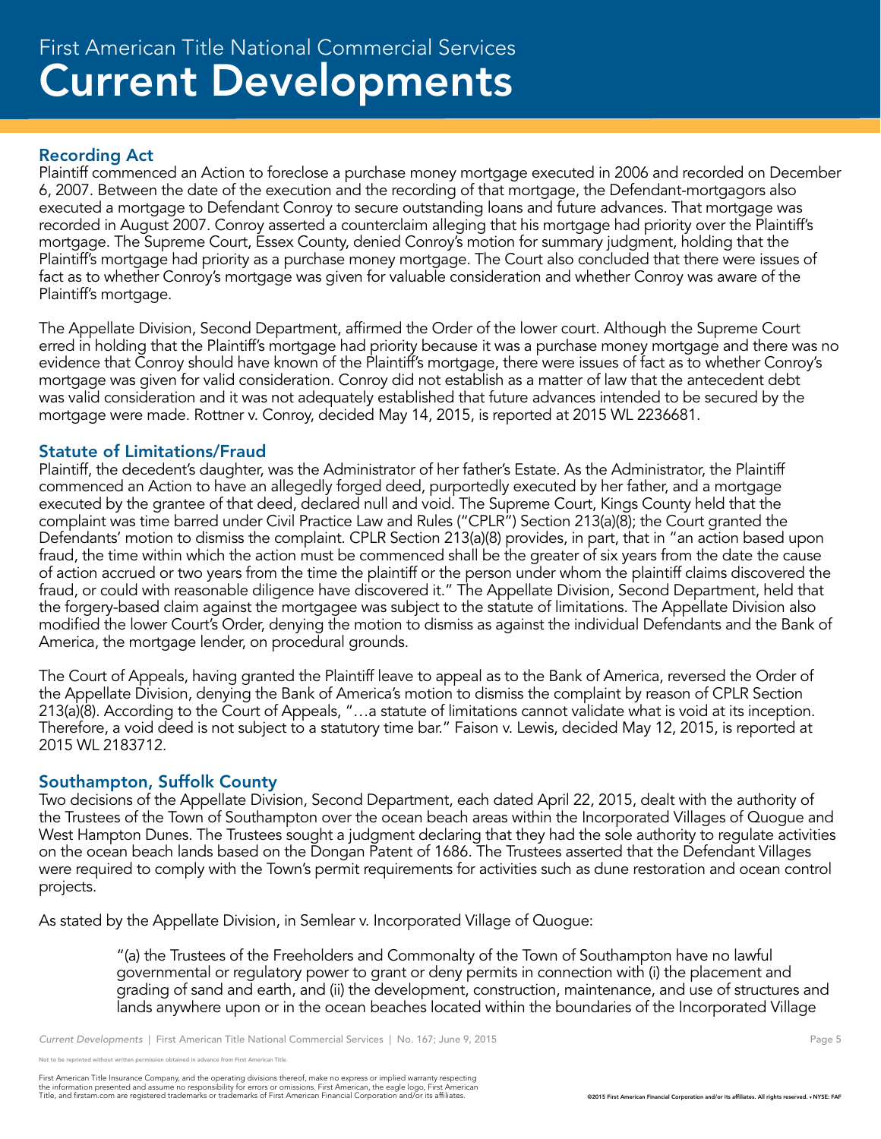## Current Developments First American Title National Commercial Services

#### Recording Act

Plaintiff commenced an Action to foreclose a purchase money mortgage executed in 2006 and recorded on December 6, 2007. Between the date of the execution and the recording of that mortgage, the Defendant-mortgagors also executed a mortgage to Defendant Conroy to secure outstanding loans and future advances. That mortgage was recorded in August 2007. Conroy asserted a counterclaim alleging that his mortgage had priority over the Plaintiff's mortgage. The Supreme Court, Essex County, denied Conroy's motion for summary judgment, holding that the Plaintiff's mortgage had priority as a purchase money mortgage. The Court also concluded that there were issues of fact as to whether Conroy's mortgage was given for valuable consideration and whether Conroy was aware of the Plaintiff's mortgage.

The Appellate Division, Second Department, affirmed the Order of the lower court. Although the Supreme Court erred in holding that the Plaintiff's mortgage had priority because it was a purchase money mortgage and there was no evidence that Conroy should have known of the Plaintiff's mortgage, there were issues of fact as to whether Conroy's mortgage was given for valid consideration. Conroy did not establish as a matter of law that the antecedent debt was valid consideration and it was not adequately established that future advances intended to be secured by the mortgage were made. Rottner v. Conroy, decided May 14, 2015, is reported at 2015 WL 2236681.

#### Statute of Limitations/Fraud

Plaintiff, the decedent's daughter, was the Administrator of her father's Estate. As the Administrator, the Plaintiff commenced an Action to have an allegedly forged deed, purportedly executed by her father, and a mortgage executed by the grantee of that deed, declared null and void. The Supreme Court, Kings County held that the complaint was time barred under Civil Practice Law and Rules ("CPLR") Section 213(a)(8); the Court granted the Defendants' motion to dismiss the complaint. CPLR Section 213(a)(8) provides, in part, that in "an action based upon fraud, the time within which the action must be commenced shall be the greater of six years from the date the cause of action accrued or two years from the time the plaintiff or the person under whom the plaintiff claims discovered the fraud, or could with reasonable diligence have discovered it." The Appellate Division, Second Department, held that the forgery-based claim against the mortgagee was subject to the statute of limitations. The Appellate Division also modified the lower Court's Order, denying the motion to dismiss as against the individual Defendants and the Bank of America, the mortgage lender, on procedural grounds.

The Court of Appeals, having granted the Plaintiff leave to appeal as to the Bank of America, reversed the Order of the Appellate Division, denying the Bank of America's motion to dismiss the complaint by reason of CPLR Section 213(a)(8). According to the Court of Appeals, "…a statute of limitations cannot validate what is void at its inception. Therefore, a void deed is not subject to a statutory time bar." Faison v. Lewis, decided May 12, 2015, is reported at 2015 WL 2183712.

#### Southampton, Suffolk County

Two decisions of the Appellate Division, Second Department, each dated April 22, 2015, dealt with the authority of the Trustees of the Town of Southampton over the ocean beach areas within the Incorporated Villages of Quogue and West Hampton Dunes. The Trustees sought a judgment declaring that they had the sole authority to regulate activities on the ocean beach lands based on the Dongan Patent of 1686. The Trustees asserted that the Defendant Villages were required to comply with the Town's permit requirements for activities such as dune restoration and ocean control projects.

As stated by the Appellate Division, in Semlear v. Incorporated Village of Quogue:

"(a) the Trustees of the Freeholders and Commonalty of the Town of Southampton have no lawful governmental or regulatory power to grant or deny permits in connection with (i) the placement and grading of sand and earth, and (ii) the development, construction, maintenance, and use of structures and lands anywhere upon or in the ocean beaches located within the boundaries of the Incorporated Village

reprinted without written permission obtained in advance from First American Title.